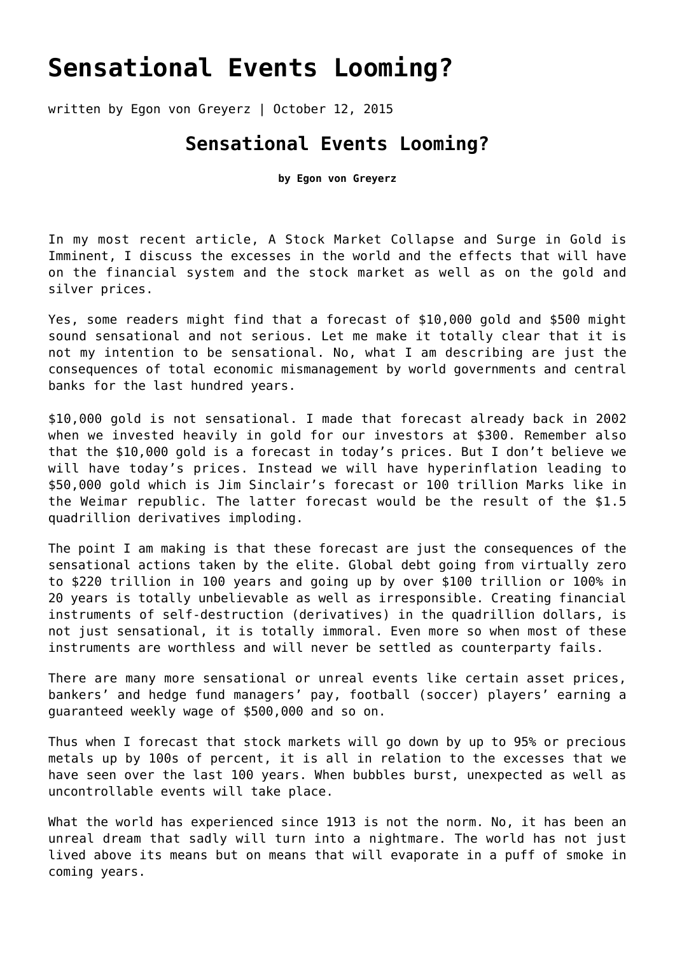## **[Sensational Events Looming?](https://goldswitzerland.com/sensational-events-looming/)**

written by Egon von Greyerz | October 12, 2015

## **Sensational Events Looming?**

**by Egon von Greyerz**

In my most recent article, [A Stock Market Collapse and Surge in Gold is](https://goldswitzerland.com/a-stock-market-collapse-and-surge-in-gold-is-imminent/) [Imminent](https://goldswitzerland.com/a-stock-market-collapse-and-surge-in-gold-is-imminent/), I discuss the excesses in the world and the effects that will have on the financial system and the stock market as well as on the gold and silver prices.

Yes, some readers might find that a forecast of \$10,000 gold and \$500 might sound sensational and not serious. Let me make it totally clear that it is not my intention to be sensational. No, what I am describing are just the consequences of total economic mismanagement by world governments and central banks for the last hundred years.

\$10,000 gold is not sensational. I made that forecast already back in 2002 when we invested heavily in gold for our investors at \$300. Remember also that the \$10,000 gold is a forecast in today's prices. But I don't believe we will have today's prices. Instead we will have hyperinflation leading to \$50,000 gold which is Jim Sinclair's forecast or 100 trillion Marks like in the Weimar republic. The latter forecast would be the result of the \$1.5 quadrillion derivatives imploding.

The point I am making is that these forecast are just the consequences of the sensational actions taken by the elite. Global debt going from virtually zero to \$220 trillion in 100 years and going up by over \$100 trillion or 100% in 20 years is totally unbelievable as well as irresponsible. Creating financial instruments of self-destruction (derivatives) in the quadrillion dollars, is not just sensational, it is totally immoral. Even more so when most of these instruments are worthless and will never be settled as counterparty fails.

There are many more sensational or unreal events like certain asset prices, bankers' and hedge fund managers' pay, football (soccer) players' earning a guaranteed weekly wage of \$500,000 and so on.

Thus when I forecast that stock markets will go down by up to 95% or precious metals up by 100s of percent, it is all in relation to the excesses that we have seen over the last 100 years. When bubbles burst, unexpected as well as uncontrollable events will take place.

What the world has experienced since 1913 is not the norm. No, it has been an unreal dream that sadly will turn into a nightmare. The world has not just lived above its means but on means that will evaporate in a puff of smoke in coming years.